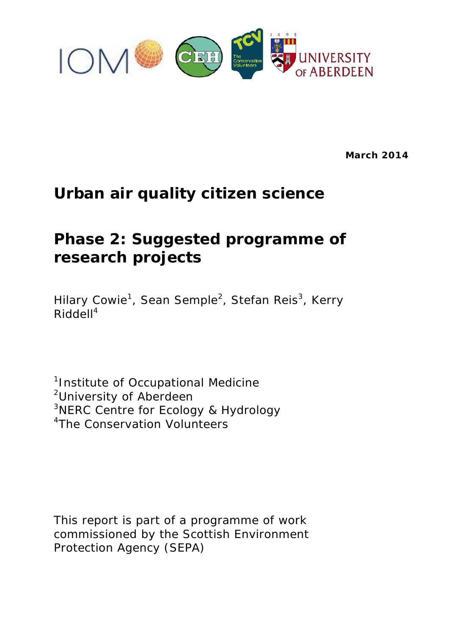

**March 2014**

# **Urban air quality citizen science**

# **Phase 2: Suggested programme of research projects**

Hilary Cowie<sup>1</sup>, Sean Semple<sup>2</sup>, Stefan Reis<sup>3</sup>, Kerry Riddell<sup>4</sup>

<sup>1</sup>Institute of Occupational Medicine <sup>2</sup>University of Aberdeen <sup>3</sup>NERC Centre for Ecology & Hydrology <sup>4</sup>The Conservation Volunteers

This report is part of a programme of work commissioned by the Scottish Environment Protection Agency (SEPA)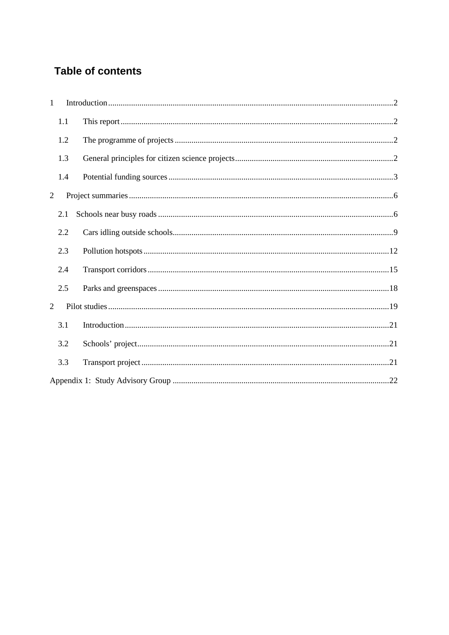# **Table of contents**

| $\mathbf{1}$ |     |  |
|--------------|-----|--|
| 1.1          |     |  |
|              | 1.2 |  |
|              | 1.3 |  |
|              | 1.4 |  |
| 2            |     |  |
| 2.1          |     |  |
| 2.2          |     |  |
| 2.3          |     |  |
| 2.4          |     |  |
| 2.5          |     |  |
| 2            |     |  |
| 3.1          |     |  |
|              | 3.2 |  |
| 3.3          |     |  |
|              |     |  |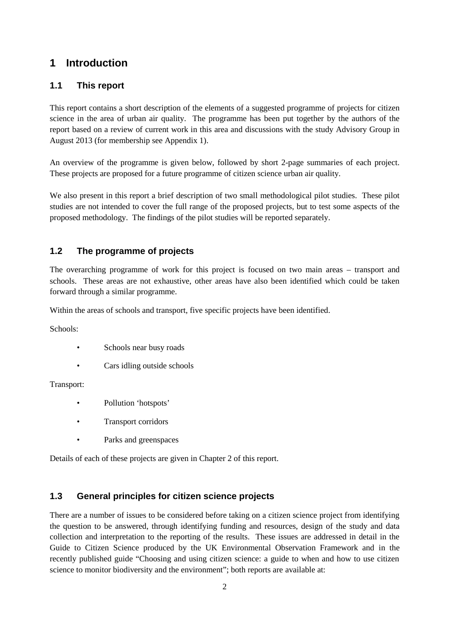# **1 Introduction**

# **1.1 This report**

This report contains a short description of the elements of a suggested programme of projects for citizen science in the area of urban air quality. The programme has been put together by the authors of the report based on a review of current work in this area and discussions with the study Advisory Group in August 2013 (for membership see Appendix 1).

An overview of the programme is given below, followed by short 2-page summaries of each project. These projects are proposed for a future programme of citizen science urban air quality.

We also present in this report a brief description of two small methodological pilot studies. These pilot studies are not intended to cover the full range of the proposed projects, but to test some aspects of the proposed methodology. The findings of the pilot studies will be reported separately.

# **1.2 The programme of projects**

The overarching programme of work for this project is focused on two main areas – transport and schools. These areas are not exhaustive, other areas have also been identified which could be taken forward through a similar programme.

Within the areas of schools and transport, five specific projects have been identified.

Schools:

- Schools near busy roads
- Cars idling outside schools

Transport:

- Pollution 'hotspots'
- Transport corridors
- Parks and greenspaces

Details of each of these projects are given in Chapter 2 of this report.

# **1.3 General principles for citizen science projects**

There are a number of issues to be considered before taking on a citizen science project from identifying the question to be answered, through identifying funding and resources, design of the study and data collection and interpretation to the reporting of the results. These issues are addressed in detail in the Guide to Citizen Science produced by the UK Environmental Observation Framework and in the recently published guide "Choosing and using citizen science: a guide to when and how to use citizen science to monitor biodiversity and the environment"; both reports are available at: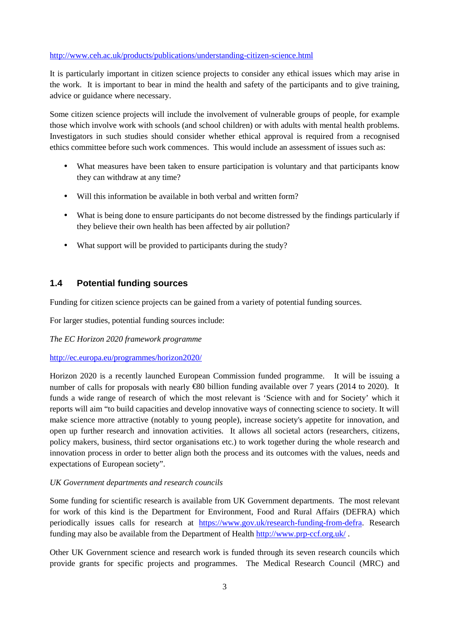#### http://www.ceh.ac.uk/products/publications/understanding-citizen-science.html

It is particularly important in citizen science projects to consider any ethical issues which may arise in the work. It is important to bear in mind the health and safety of the participants and to give training, advice or guidance where necessary.

Some citizen science projects will include the involvement of vulnerable groups of people, for example those which involve work with schools (and school children) or with adults with mental health problems. Investigators in such studies should consider whether ethical approval is required from a recognised ethics committee before such work commences. This would include an assessment of issues such as:

- What measures have been taken to ensure participation is voluntary and that participants know they can withdraw at any time?
- Will this information be available in both verbal and written form?
- What is being done to ensure participants do not become distressed by the findings particularly if they believe their own health has been affected by air pollution?
- What support will be provided to participants during the study?

#### **1.4 Potential funding sources**

Funding for citizen science projects can be gained from a variety of potential funding sources.

For larger studies, potential funding sources include:

*The EC Horizon 2020 framework programme*

http://ec.europa.eu/programmes/horizon2020/

Horizon 2020 is a recently launched European Commission funded programme. It will be issuing a number of calls for proposals with nearly €80 billion funding available over 7 years (2014 to 2020). It funds a wide range of research of which the most relevant is 'Science with and for Society' which it reports will aim "to build capacities and develop innovative ways of connecting science to society. It will make science more attractive (notably to young people), increase society's appetite for innovation, and open up further research and innovation activities. It allows all societal actors (researchers, citizens, policy makers, business, third sector organisations etc.) to work together during the whole research and innovation process in order to better align both the process and its outcomes with the values, needs and expectations of European society".

#### *UK Government departments and research councils*

Some funding for scientific research is available from UK Government departments. The most relevant for work of this kind is the Department for Environment, Food and Rural Affairs (DEFRA) which periodically issues calls for research at https://www.gov.uk/research-funding-from-defra. Research funding may also be available from the Department of Health http://www.prp-ccf.org.uk/ .

Other UK Government science and research work is funded through its seven research councils which provide grants for specific projects and programmes. The Medical Research Council (MRC) and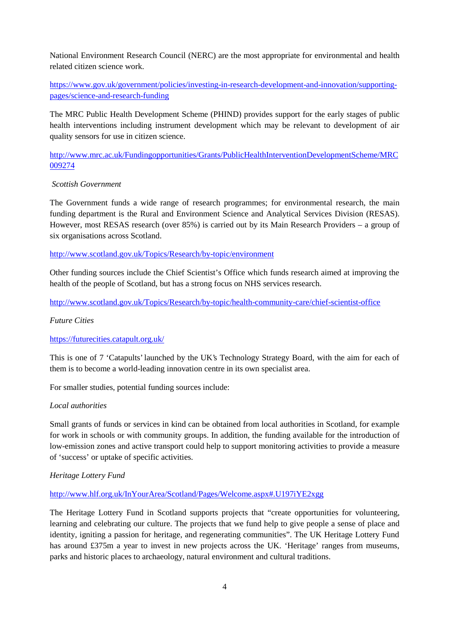National Environment Research Council (NERC) are the most appropriate for environmental and health related citizen science work.

https://www.gov.uk/government/policies/investing-in-research-development-and-innovation/supporting pages/science-and-research-funding

The MRC Public Health Development Scheme (PHIND) provides support for the early stages of public health interventions including instrument development which may be relevant to development of air quality sensors for use in citizen science.

http://www.mrc.ac.uk/Fundingopportunities/Grants/PublicHealthInterventionDevelopmentScheme/MRC 009274

#### *Scottish Government*

The Government funds a wide range of research programmes; for environmental research, the main funding department is the Rural and Environment Science and Analytical Services Division (RESAS). However, most RESAS research (over 85%) is carried out by its Main Research Providers – a group of six organisations across Scotland.

http://www.scotland.gov.uk/Topics/Research/by-topic/environment

Other funding sources include the Chief Scientist's Office which funds research aimed at improving the health of the people of Scotland, but has a strong focus on NHS services research.

http://www.scotland.gov.uk/Topics/Research/by-topic/health-community-care/chief-scientist-office

#### *Future Cities*

#### https://futurecities.catapult.org.uk/

This is one of 7 'Catapults' launched by the UK's Technology Strategy Board, with the aim for each of them is to become a world-leading innovation centre in its own specialist area.

For smaller studies, potential funding sources include:

#### *Local authorities*

Small grants of funds or services in kind can be obtained from local authorities in Scotland, for example for work in schools or with community groups. In addition, the funding available for the introduction of low-emission zones and active transport could help to support monitoring activities to provide a measure of 'success' or uptake of specific activities.

#### *Heritage Lottery Fund*

#### http://www.hlf.org.uk/InYourArea/Scotland/Pages/Welcome.aspx#.U197iYE2xgg

The Heritage Lottery Fund in Scotland supports projects that "create opportunities for volunteering, learning and celebrating our culture. The projects that we fund help to give people a sense of place and identity, igniting a passion for heritage, and regenerating communities". The UK Heritage Lottery Fund has around £375m a year to invest in new projects across the UK. 'Heritage' ranges from museums, parks and historic places to archaeology, natural environment and cultural traditions.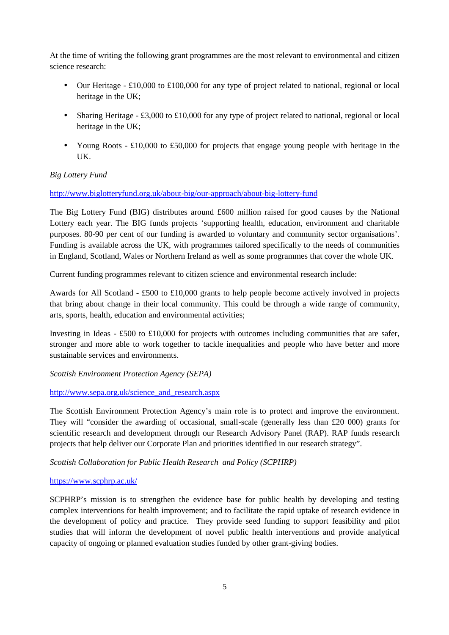At the time of writing the following grant programmes are the most relevant to environmental and citizen science research:

- Our Heritage £10,000 to £100,000 for any type of project related to national, regional or local heritage in the UK;
- Sharing Heritage £3,000 to £10,000 for any type of project related to national, regional or local heritage in the UK;
- Young Roots £10,000 to £50,000 for projects that engage young people with heritage in the UK.

#### *Big Lottery Fund*

#### http://www.biglotteryfund.org.uk/about-big/our-approach/about-big-lottery-fund

The Big Lottery Fund (BIG) distributes around £600 million raised for good causes by the National Lottery each year. The BIG funds projects 'supporting health, education, environment and charitable purposes. 80-90 per cent of our funding is awarded to voluntary and community sector organisations'. Funding is available across the UK, with programmes tailored specifically to the needs of communities in England, Scotland, Wales or Northern Ireland as well as some programmes that cover the whole UK.

Current funding programmes relevant to citizen science and environmental research include:

Awards for All Scotland - £500 to £10,000 grants to help people become actively involved in projects that bring about change in their local community. This could be through a wide range of community, arts, sports, health, education and environmental activities;

Investing in Ideas - £500 to £10,000 for projects with outcomes including communities that are safer, stronger and more able to work together to tackle inequalities and people who have better and more sustainable services and environments.

#### *Scottish Environment Protection Agency (SEPA)*

#### http://www.sepa.org.uk/science\_and\_research.aspx

The Scottish Environment Protection Agency's main role is to protect and improve the environment. They will "consider the awarding of occasional, small-scale (generally less than £20 000) grants for scientific research and development through our Research Advisory Panel (RAP). RAP funds research projects that help deliver our Corporate Plan and priorities identified in our research strategy".

#### *Scottish Collaboration for Public Health Research and Policy (SCPHRP)*

#### https://www.scphrp.ac.uk/

SCPHRP's mission is to strengthen the evidence base for public health by developing and testing complex interventions for health improvement; and to facilitate the rapid uptake of research evidence in the development of policy and practice. They provide seed funding to support feasibility and pilot studies that will inform the development of novel public health interventions and provide analytical capacity of ongoing or planned evaluation studies funded by other grant-giving bodies.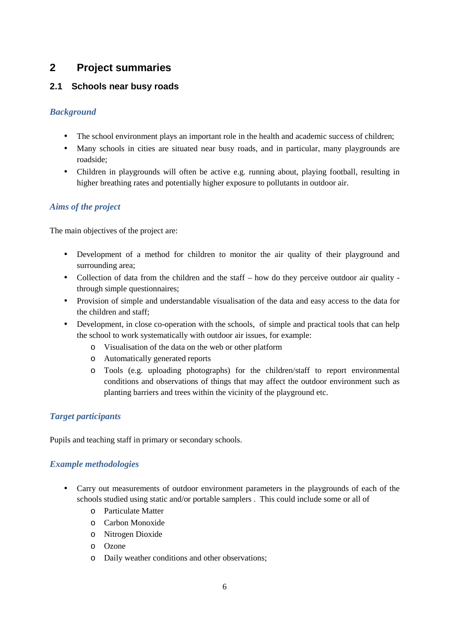# **2 Project summaries**

# **2.1 Schools near busy roads**

## *Background*

- The school environment plays an important role in the health and academic success of children;
- Many schools in cities are situated near busy roads, and in particular, many playgrounds are roadside;
- Children in playgrounds will often be active e.g. running about, playing football, resulting in higher breathing rates and potentially higher exposure to pollutants in outdoor air.

# *Aims of the project*

The main objectives of the project are:

- Development of a method for children to monitor the air quality of their playground and surrounding area;
- Collection of data from the children and the staff how do they perceive outdoor air quality through simple questionnaires;
- Provision of simple and understandable visualisation of the data and easy access to the data for the children and staff;
- Development, in close co-operation with the schools, of simple and practical tools that can help the school to work systematically with outdoor air issues, for example:
	- o Visualisation of the data on the web or other platform
	- o Automatically generated reports
	- o Tools (e.g. uploading photographs) for the children/staff to report environmental conditions and observations of things that may affect the outdoor environment such as planting barriers and trees within the vicinity of the playground etc.

## *Target participants*

Pupils and teaching staff in primary or secondary schools.

- Carry out measurements of outdoor environment parameters in the playgrounds of each of the schools studied using static and/or portable samplers . This could include some or all of
	- o Particulate Matter
	- o Carbon Monoxide
	- o Nitrogen Dioxide
	- o Ozone
	- o Daily weather conditions and other observations;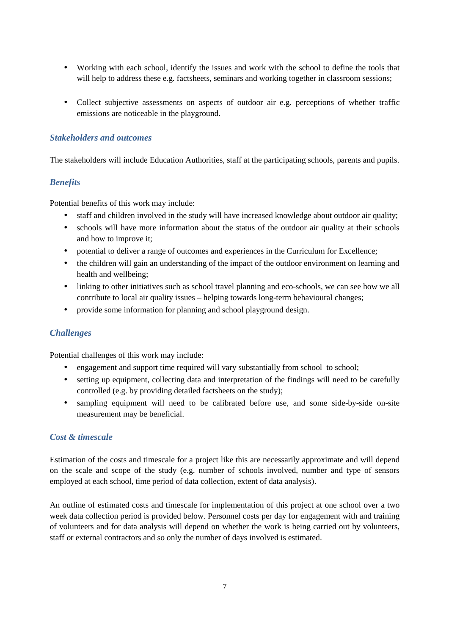- Working with each school, identify the issues and work with the school to define the tools that will help to address these e.g. factsheets, seminars and working together in classroom sessions;
- Collect subjective assessments on aspects of outdoor air e.g. perceptions of whether traffic emissions are noticeable in the playground.

The stakeholders will include Education Authorities, staff at the participating schools, parents and pupils.

## *Benefits*

Potential benefits of this work may include:

- staff and children involved in the study will have increased knowledge about outdoor air quality;
- schools will have more information about the status of the outdoor air quality at their schools and how to improve it;
- potential to deliver a range of outcomes and experiences in the Curriculum for Excellence;
- the children will gain an understanding of the impact of the outdoor environment on learning and health and wellbeing;
- linking to other initiatives such as school travel planning and eco-schools, we can see how we all contribute to local air quality issues – helping towards long-term behavioural changes;
- provide some information for planning and school playground design.

## *Challenges*

Potential challenges of this work may include:

- engagement and support time required will vary substantially from school to school;
- setting up equipment, collecting data and interpretation of the findings will need to be carefully controlled (e.g. by providing detailed factsheets on the study);
- sampling equipment will need to be calibrated before use, and some side-by-side on-site measurement may be beneficial.

#### *Cost & timescale*

Estimation of the costs and timescale for a project like this are necessarily approximate and will depend on the scale and scope of the study (e.g. number of schools involved, number and type of sensors employed at each school, time period of data collection, extent of data analysis).

An outline of estimated costs and timescale for implementation of this project at one school over a two week data collection period is provided below. Personnel costs per day for engagement with and training of volunteers and for data analysis will depend on whether the work is being carried out by volunteers, staff or external contractors and so only the number of days involved is estimated.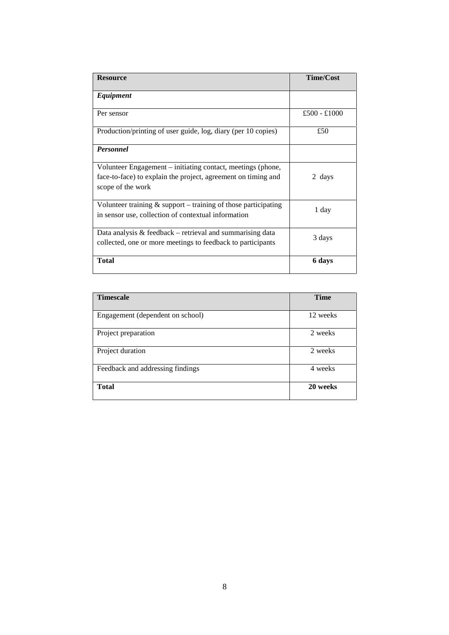| <b>Resource</b>                                                                                                                                   | <b>Time/Cost</b> |
|---------------------------------------------------------------------------------------------------------------------------------------------------|------------------|
| Equipment                                                                                                                                         |                  |
| Per sensor                                                                                                                                        | £500 - £1000     |
| Production/printing of user guide, log, diary (per 10 copies)                                                                                     | £50              |
| <b>Personnel</b>                                                                                                                                  |                  |
| Volunteer Engagement – initiating contact, meetings (phone,<br>face-to-face) to explain the project, agreement on timing and<br>scope of the work | 2 days           |
| Volunteer training $\&$ support – training of those participating<br>in sensor use, collection of contextual information                          | 1 day            |
| Data analysis $& feedback - retrieval$ and summarising data<br>collected, one or more meetings to feedback to participants                        | 3 days           |
| <b>Total</b>                                                                                                                                      | 6 days           |

| <b>Timescale</b>                 | <b>Time</b> |
|----------------------------------|-------------|
|                                  |             |
| Engagement (dependent on school) | 12 weeks    |
|                                  |             |
| Project preparation              | 2 weeks     |
|                                  |             |
| Project duration                 | 2 weeks     |
|                                  |             |
| Feedback and addressing findings | 4 weeks     |
|                                  |             |
| <b>Total</b>                     | 20 weeks    |
|                                  |             |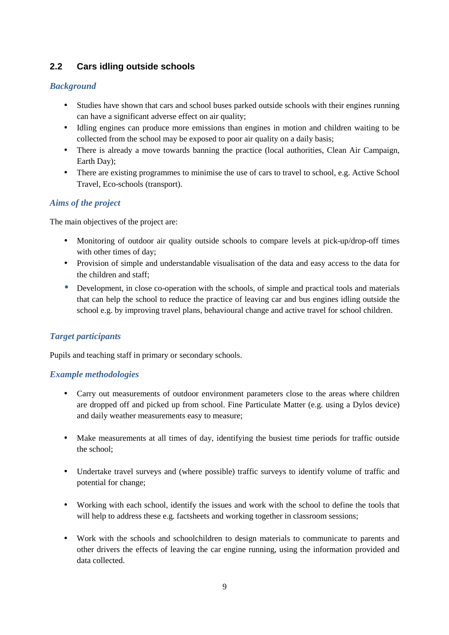# **2.2 Cars idling outside schools**

## *Background*

- Studies have shown that cars and school buses parked outside schools with their engines running can have a significant adverse effect on air quality;
- Idling engines can produce more emissions than engines in motion and children waiting to be collected from the school may be exposed to poor air quality on a daily basis;
- There is already a move towards banning the practice (local authorities, Clean Air Campaign, Earth Day);
- There are existing programmes to minimise the use of cars to travel to school, e.g. Active School Travel, Eco-schools (transport).

## *Aims of the project*

The main objectives of the project are:

- Monitoring of outdoor air quality outside schools to compare levels at pick-up/drop-off times with other times of day;
- Provision of simple and understandable visualisation of the data and easy access to the data for the children and staff;
- Development, in close co-operation with the schools, of simple and practical tools and materials that can help the school to reduce the practice of leaving car and bus engines idling outside the school e.g. by improving travel plans, behavioural change and active travel for school children.

#### *Target participants*

Pupils and teaching staff in primary or secondary schools.

- Carry out measurements of outdoor environment parameters close to the areas where children are dropped off and picked up from school. Fine Particulate Matter (e.g. using a Dylos device) and daily weather measurements easy to measure;
- Make measurements at all times of day, identifying the busiest time periods for traffic outside the school;
- Undertake travel surveys and (where possible) traffic surveys to identify volume of traffic and potential for change;
- Working with each school, identify the issues and work with the school to define the tools that will help to address these e.g. factsheets and working together in classroom sessions;
- Work with the schools and schoolchildren to design materials to communicate to parents and other drivers the effects of leaving the car engine running, using the information provided and data collected.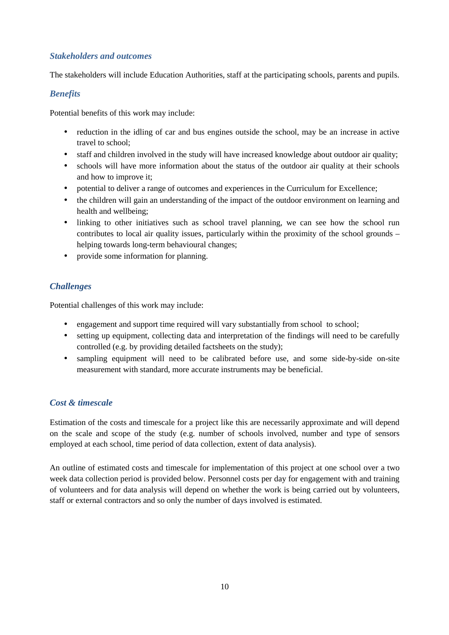The stakeholders will include Education Authorities, staff at the participating schools, parents and pupils.

#### *Benefits*

Potential benefits of this work may include:

- reduction in the idling of car and bus engines outside the school, may be an increase in active travel to school;
- staff and children involved in the study will have increased knowledge about outdoor air quality;
- schools will have more information about the status of the outdoor air quality at their schools and how to improve it;
- potential to deliver a range of outcomes and experiences in the Curriculum for Excellence;
- the children will gain an understanding of the impact of the outdoor environment on learning and health and wellbeing;
- linking to other initiatives such as school travel planning, we can see how the school run contributes to local air quality issues, particularly within the proximity of the school grounds – helping towards long-term behavioural changes;
- provide some information for planning.

## *Challenges*

Potential challenges of this work may include:

- engagement and support time required will vary substantially from school to school;
- setting up equipment, collecting data and interpretation of the findings will need to be carefully controlled (e.g. by providing detailed factsheets on the study);
- sampling equipment will need to be calibrated before use, and some side-by-side on-site measurement with standard, more accurate instruments may be beneficial.

#### *Cost & timescale*

Estimation of the costs and timescale for a project like this are necessarily approximate and will depend on the scale and scope of the study (e.g. number of schools involved, number and type of sensors employed at each school, time period of data collection, extent of data analysis).

An outline of estimated costs and timescale for implementation of this project at one school over a two week data collection period is provided below. Personnel costs per day for engagement with and training of volunteers and for data analysis will depend on whether the work is being carried out by volunteers, staff or external contractors and so only the number of days involved is estimated.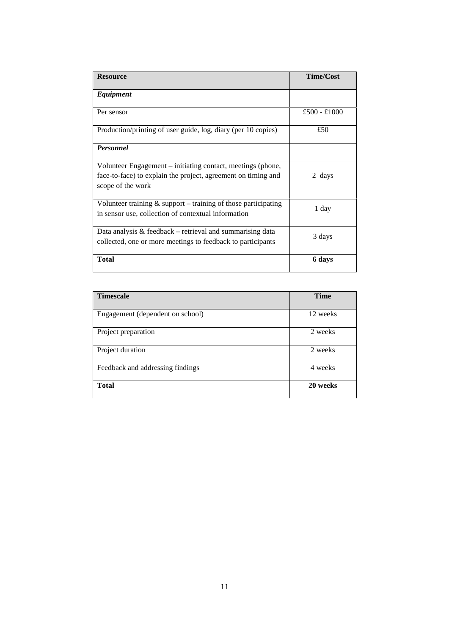| <b>Resource</b>                                                                                                                                   | <b>Time/Cost</b> |
|---------------------------------------------------------------------------------------------------------------------------------------------------|------------------|
| Equipment                                                                                                                                         |                  |
| Per sensor                                                                                                                                        | £500 - £1000     |
| Production/printing of user guide, log, diary (per 10 copies)                                                                                     | £50              |
| <b>Personnel</b>                                                                                                                                  |                  |
| Volunteer Engagement – initiating contact, meetings (phone,<br>face-to-face) to explain the project, agreement on timing and<br>scope of the work | 2 days           |
| Volunteer training $\&$ support – training of those participating<br>in sensor use, collection of contextual information                          | 1 day            |
| Data analysis $& feedback - retrieval$ and summarising data<br>collected, one or more meetings to feedback to participants                        | 3 days           |
| <b>Total</b>                                                                                                                                      | 6 days           |

| <b>Timescale</b>                 | <b>Time</b> |
|----------------------------------|-------------|
|                                  |             |
| Engagement (dependent on school) | 12 weeks    |
| Project preparation              | 2 weeks     |
| Project duration                 | 2 weeks     |
| Feedback and addressing findings | 4 weeks     |
| <b>Total</b>                     | 20 weeks    |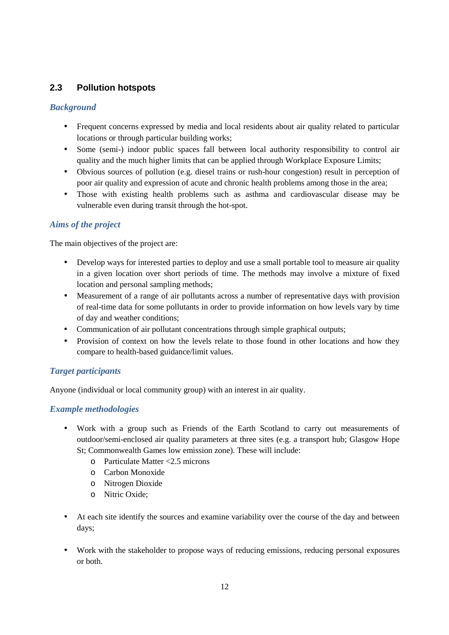## **2.3 Pollution hotspots**

## *Background*

- Frequent concerns expressed by media and local residents about air quality related to particular locations or through particular building works;
- Some (semi-) indoor public spaces fall between local authority responsibility to control air quality and the much higher limits that can be applied through Workplace Exposure Limits;
- Obvious sources of pollution (e.g. diesel trains or rush-hour congestion) result in perception of poor air quality and expression of acute and chronic health problems among those in the area;
- Those with existing health problems such as asthma and cardiovascular disease may be vulnerable even during transit through the hot-spot.

## *Aims of the project*

The main objectives of the project are:

- Develop ways for interested parties to deploy and use a small portable tool to measure air quality in a given location over short periods of time. The methods may involve a mixture of fixed location and personal sampling methods;
- Measurement of a range of air pollutants across a number of representative days with provision of real-time data for some pollutants in order to provide information on how levels vary by time of day and weather conditions;
- Communication of air pollutant concentrations through simple graphical outputs;
- Provision of context on how the levels relate to those found in other locations and how they compare to health-based guidance/limit values.

## *Target participants*

Anyone (individual or local community group) with an interest in air quality.

- Work with a group such as Friends of the Earth Scotland to carry out measurements of outdoor/semi-enclosed air quality parameters at three sites (e.g. a transport hub; Glasgow Hope St; Commonwealth Games low emission zone). These will include:
	- o Particulate Matter <2.5 microns
	- o Carbon Monoxide
	- o Nitrogen Dioxide
	- o Nitric Oxide;
- At each site identify the sources and examine variability over the course of the day and between days;
- Work with the stakeholder to propose ways of reducing emissions, reducing personal exposures or both.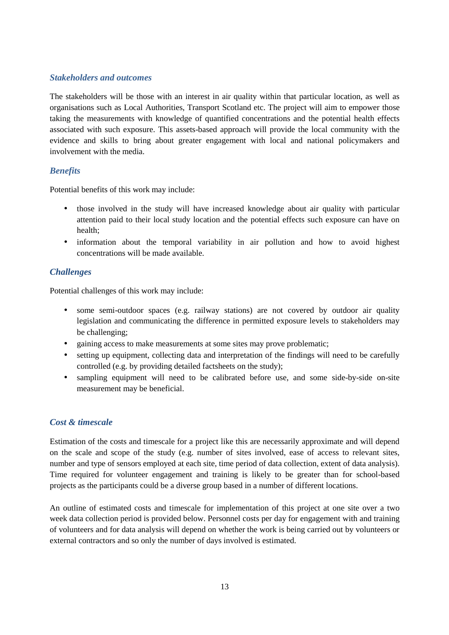The stakeholders will be those with an interest in air quality within that particular location, as well as organisations such as Local Authorities, Transport Scotland etc. The project will aim to empower those taking the measurements with knowledge of quantified concentrations and the potential health effects associated with such exposure. This assets-based approach will provide the local community with the evidence and skills to bring about greater engagement with local and national policymakers and involvement with the media.

## *Benefits*

Potential benefits of this work may include:

- those involved in the study will have increased knowledge about air quality with particular attention paid to their local study location and the potential effects such exposure can have on health;
- information about the temporal variability in air pollution and how to avoid highest concentrations will be made available.

## *Challenges*

Potential challenges of this work may include:

- some semi-outdoor spaces (e.g. railway stations) are not covered by outdoor air quality legislation and communicating the difference in permitted exposure levels to stakeholders may be challenging;
- gaining access to make measurements at some sites may prove problematic;
- setting up equipment, collecting data and interpretation of the findings will need to be carefully controlled (e.g. by providing detailed factsheets on the study);
- sampling equipment will need to be calibrated before use, and some side-by-side on-site measurement may be beneficial.

#### *Cost & timescale*

Estimation of the costs and timescale for a project like this are necessarily approximate and will depend on the scale and scope of the study (e.g. number of sites involved, ease of access to relevant sites, number and type of sensors employed at each site, time period of data collection, extent of data analysis). Time required for volunteer engagement and training is likely to be greater than for school-based projects as the participants could be a diverse group based in a number of different locations.

An outline of estimated costs and timescale for implementation of this project at one site over a two week data collection period is provided below. Personnel costs per day for engagement with and training of volunteers and for data analysis will depend on whether the work is being carried out by volunteers or external contractors and so only the number of days involved is estimated.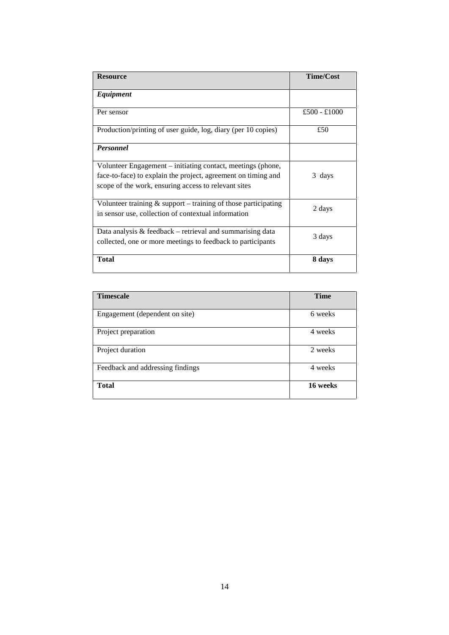| <b>Resource</b>                                                                                                                                                                      | <b>Time/Cost</b> |
|--------------------------------------------------------------------------------------------------------------------------------------------------------------------------------------|------------------|
| Equipment                                                                                                                                                                            |                  |
| Per sensor                                                                                                                                                                           | £500 - £1000     |
| Production/printing of user guide, log, diary (per 10 copies)                                                                                                                        | £50              |
| <b>Personnel</b>                                                                                                                                                                     |                  |
| Volunteer Engagement – initiating contact, meetings (phone,<br>face-to-face) to explain the project, agreement on timing and<br>scope of the work, ensuring access to relevant sites | 3 days           |
| Volunteer training $&$ support – training of those participating<br>in sensor use, collection of contextual information                                                              | 2 days           |
| Data analysis $& feedback - retrieval$ and summarising data<br>collected, one or more meetings to feedback to participants                                                           | 3 days           |
| <b>Total</b>                                                                                                                                                                         | 8 days           |

| <b>Timescale</b>                 | <b>Time</b> |
|----------------------------------|-------------|
|                                  |             |
| Engagement (dependent on site)   | 6 weeks     |
| Project preparation              | 4 weeks     |
| Project duration                 | 2 weeks     |
| Feedback and addressing findings | 4 weeks     |
| <b>Total</b>                     | 16 weeks    |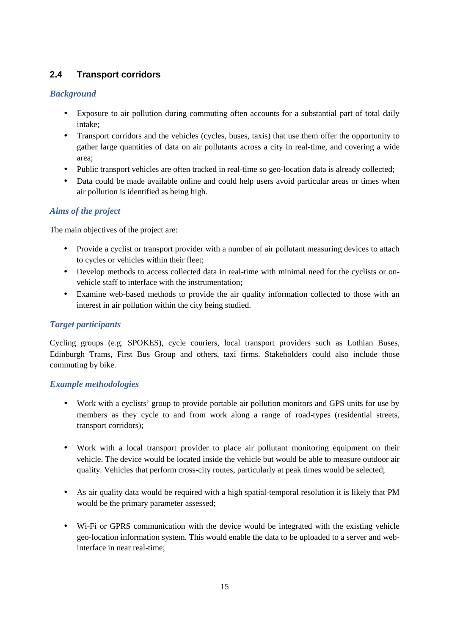# **2.4 Transport corridors**

## *Background*

- Exposure to air pollution during commuting often accounts for a substantial part of total daily intake;
- Transport corridors and the vehicles (cycles, buses, taxis) that use them offer the opportunity to gather large quantities of data on air pollutants across a city in real-time, and covering a wide area;
- Public transport vehicles are often tracked in real-time so geo-location data is already collected;
- Data could be made available online and could help users avoid particular areas or times when air pollution is identified as being high.

## *Aims of the project*

The main objectives of the project are:

- Provide a cyclist or transport provider with a number of air pollutant measuring devices to attach to cycles or vehicles within their fleet;
- Develop methods to access collected data in real-time with minimal need for the cyclists or on vehicle staff to interface with the instrumentation;
- Examine web-based methods to provide the air quality information collected to those with an interest in air pollution within the city being studied.

## *Target participants*

Cycling groups (e.g. SPOKES), cycle couriers, local transport providers such as Lothian Buses, Edinburgh Trams, First Bus Group and others, taxi firms. Stakeholders could also include those commuting by bike.

- Work with a cyclists' group to provide portable air pollution monitors and GPS units for use by members as they cycle to and from work along a range of road-types (residential streets, transport corridors);
- Work with a local transport provider to place air pollutant monitoring equipment on their vehicle. The device would be located inside the vehicle but would be able to measure outdoor air quality. Vehicles that perform cross-city routes, particularly at peak times would be selected;
- As air quality data would be required with a high spatial-temporal resolution it is likely that PM would be the primary parameter assessed;
- Wi-Fi or GPRS communication with the device would be integrated with the existing vehicle geo-location information system. This would enable the data to be uploaded to a server and webinterface in near real-time;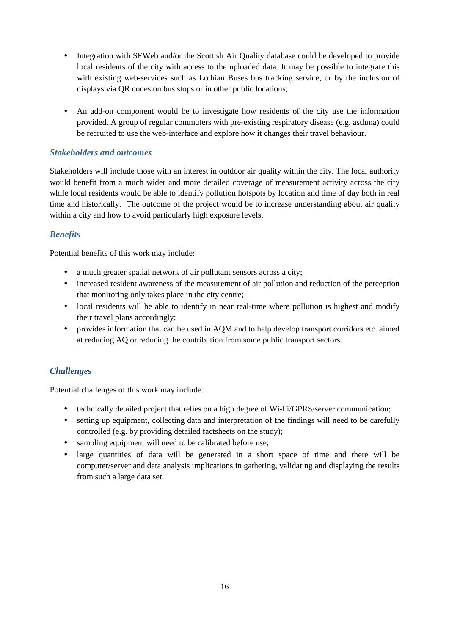- Integration with SEWeb and/or the Scottish Air Quality database could be developed to provide local residents of the city with access to the uploaded data. It may be possible to integrate this with existing web-services such as Lothian Buses bus tracking service, or by the inclusion of displays via QR codes on bus stops or in other public locations;
- An add-on component would be to investigate how residents of the city use the information provided. A group of regular commuters with pre-existing respiratory disease (e.g. asthma) could be recruited to use the web-interface and explore how it changes their travel behaviour.

Stakeholders will include those with an interest in outdoor air quality within the city. The local authority would benefit from a much wider and more detailed coverage of measurement activity across the city while local residents would be able to identify pollution hotspots by location and time of day both in real time and historically. The outcome of the project would be to increase understanding about air quality within a city and how to avoid particularly high exposure levels.

## *Benefits*

Potential benefits of this work may include:

- a much greater spatial network of air pollutant sensors across a city;
- increased resident awareness of the measurement of air pollution and reduction of the perception that monitoring only takes place in the city centre;
- local residents will be able to identify in near real-time where pollution is highest and modify their travel plans accordingly;
- provides information that can be used in AQM and to help develop transport corridors etc. aimed at reducing AQ or reducing the contribution from some public transport sectors.

## *Challenges*

Potential challenges of this work may include:

- technically detailed project that relies on a high degree of Wi-Fi/GPRS/server communication;
- setting up equipment, collecting data and interpretation of the findings will need to be carefully controlled (e.g. by providing detailed factsheets on the study);
- sampling equipment will need to be calibrated before use:
- large quantities of data will be generated in a short space of time and there will be computer/server and data analysis implications in gathering, validating and displaying the results from such a large data set.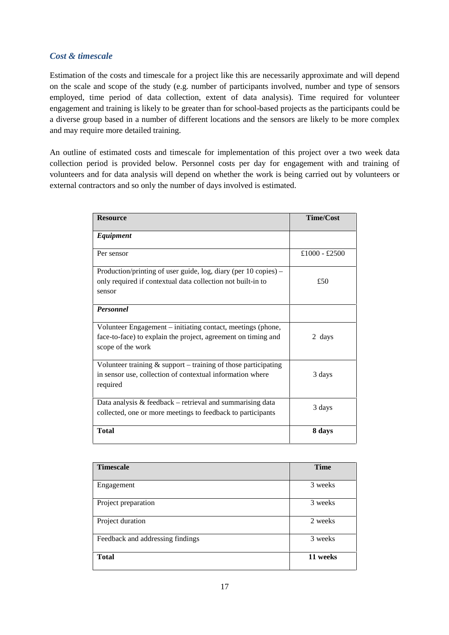#### *Cost & timescale*

Estimation of the costs and timescale for a project like this are necessarily approximate and will depend on the scale and scope of the study (e.g. number of participants involved, number and type of sensors employed, time period of data collection, extent of data analysis). Time required for volunteer engagement and training is likely to be greater than for school-based projects as the participants could be a diverse group based in a number of different locations and the sensors are likely to be more complex and may require more detailed training.

An outline of estimated costs and timescale for implementation of this project over a two week data collection period is provided below. Personnel costs per day for engagement with and training of volunteers and for data analysis will depend on whether the work is being carried out by volunteers or external contractors and so only the number of days involved is estimated.

| <b>Resource</b>                                                                                                                                   | <b>Time/Cost</b> |
|---------------------------------------------------------------------------------------------------------------------------------------------------|------------------|
| Equipment                                                                                                                                         |                  |
| Per sensor                                                                                                                                        | £1000 - £2500    |
| Production/printing of user guide, $log$ , diary (per 10 copies) –<br>only required if contextual data collection not built-in to                 | £50              |
| sensor                                                                                                                                            |                  |
| <b>Personnel</b>                                                                                                                                  |                  |
| Volunteer Engagement – initiating contact, meetings (phone,<br>face-to-face) to explain the project, agreement on timing and<br>scope of the work | 2 days           |
| Volunteer training $\&$ support – training of those participating<br>in sensor use, collection of contextual information where<br>required        | 3 days           |
| Data analysis $& feedback - retrieval$ and summarising data<br>collected, one or more meetings to feedback to participants                        | 3 days           |
| <b>Total</b>                                                                                                                                      | 8 days           |

| <b>Timescale</b>                 | <b>Time</b> |
|----------------------------------|-------------|
| Engagement                       | 3 weeks     |
| Project preparation              | 3 weeks     |
| Project duration                 | 2 weeks     |
| Feedback and addressing findings | 3 weeks     |
| <b>Total</b>                     | 11 weeks    |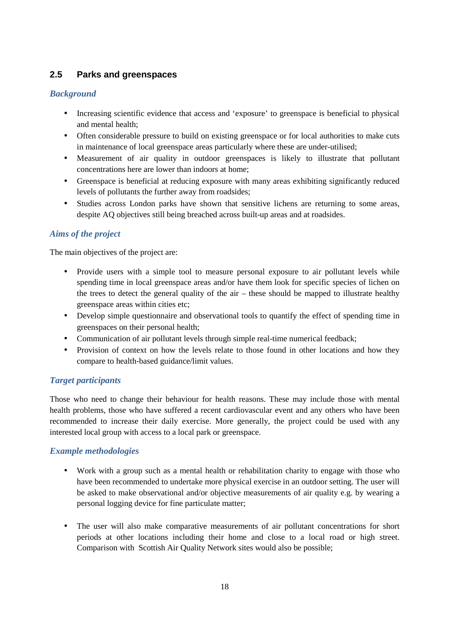## **2.5 Parks and greenspaces**

## *Background*

- Increasing scientific evidence that access and 'exposure' to greenspace is beneficial to physical and mental health;
- Often considerable pressure to build on existing greenspace or for local authorities to make cuts in maintenance of local greenspace areas particularly where these are under-utilised;
- Measurement of air quality in outdoor greenspaces is likely to illustrate that pollutant concentrations here are lower than indoors at home;
- Greenspace is beneficial at reducing exposure with many areas exhibiting significantly reduced levels of pollutants the further away from roadsides;
- Studies across London parks have shown that sensitive lichens are returning to some areas, despite AQ objectives still being breached across built-up areas and at roadsides.

## *Aims of the project*

The main objectives of the project are:

- Provide users with a simple tool to measure personal exposure to air pollutant levels while spending time in local greenspace areas and/or have them look for specific species of lichen on the trees to detect the general quality of the air – these should be mapped to illustrate healthy greenspace areas within cities etc;
- Develop simple questionnaire and observational tools to quantify the effect of spending time in greenspaces on their personal health;
- Communication of air pollutant levels through simple real-time numerical feedback;
- Provision of context on how the levels relate to those found in other locations and how they compare to health-based guidance/limit values.

#### *Target participants*

Those who need to change their behaviour for health reasons. These may include those with mental health problems, those who have suffered a recent cardiovascular event and any others who have been recommended to increase their daily exercise. More generally, the project could be used with any interested local group with access to a local park or greenspace.

- Work with a group such as a mental health or rehabilitation charity to engage with those who have been recommended to undertake more physical exercise in an outdoor setting. The user will be asked to make observational and/or objective measurements of air quality e.g. by wearing a personal logging device for fine particulate matter;
- The user will also make comparative measurements of air pollutant concentrations for short periods at other locations including their home and close to a local road or high street. Comparison with Scottish Air Quality Network sites would also be possible;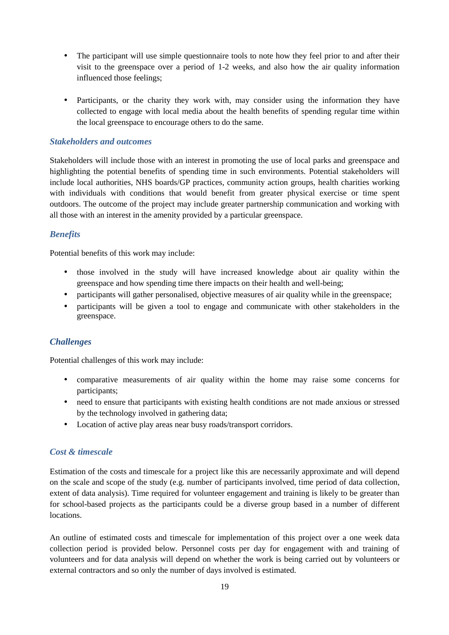- The participant will use simple questionnaire tools to note how they feel prior to and after their visit to the greenspace over a period of 1-2 weeks, and also how the air quality information influenced those feelings;
- Participants, or the charity they work with, may consider using the information they have collected to engage with local media about the health benefits of spending regular time within the local greenspace to encourage others to do the same.

Stakeholders will include those with an interest in promoting the use of local parks and greenspace and highlighting the potential benefits of spending time in such environments. Potential stakeholders will include local authorities, NHS boards/GP practices, community action groups, health charities working with individuals with conditions that would benefit from greater physical exercise or time spent outdoors. The outcome of the project may include greater partnership communication and working with all those with an interest in the amenity provided by a particular greenspace.

#### *Benefits*

Potential benefits of this work may include:

- those involved in the study will have increased knowledge about air quality within the greenspace and how spending time there impacts on their health and well-being;
- participants will gather personalised, objective measures of air quality while in the greenspace;
- participants will be given a tool to engage and communicate with other stakeholders in the greenspace.

#### *Challenges*

Potential challenges of this work may include:

- comparative measurements of air quality within the home may raise some concerns for participants;
- need to ensure that participants with existing health conditions are not made anxious or stressed by the technology involved in gathering data;
- Location of active play areas near busy roads/transport corridors.

### *Cost & timescale*

Estimation of the costs and timescale for a project like this are necessarily approximate and will depend on the scale and scope of the study (e.g. number of participants involved, time period of data collection, extent of data analysis). Time required for volunteer engagement and training is likely to be greater than for school-based projects as the participants could be a diverse group based in a number of different locations.

An outline of estimated costs and timescale for implementation of this project over a one week data collection period is provided below. Personnel costs per day for engagement with and training of volunteers and for data analysis will depend on whether the work is being carried out by volunteers or external contractors and so only the number of days involved is estimated.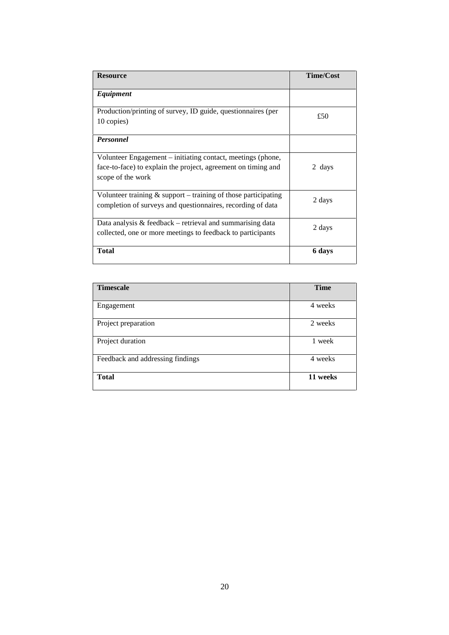| <b>Resource</b>                                                                                                                                   | <b>Time/Cost</b> |
|---------------------------------------------------------------------------------------------------------------------------------------------------|------------------|
| Equipment                                                                                                                                         |                  |
| Production/printing of survey, ID guide, questionnaires (per<br>10 copies)                                                                        | £50              |
| <b>Personnel</b>                                                                                                                                  |                  |
| Volunteer Engagement – initiating contact, meetings (phone,<br>face-to-face) to explain the project, agreement on timing and<br>scope of the work | 2 days           |
| Volunteer training $\&$ support – training of those participating<br>completion of surveys and questionnaires, recording of data                  | 2 days           |
| Data analysis $\&$ feedback – retrieval and summarising data<br>collected, one or more meetings to feedback to participants                       | 2 days           |
| <b>Total</b>                                                                                                                                      | 6 days           |

| <b>Timescale</b>                 | <b>Time</b> |
|----------------------------------|-------------|
|                                  |             |
| Engagement                       | 4 weeks     |
| Project preparation              | 2 weeks     |
| Project duration                 | 1 week      |
| Feedback and addressing findings | 4 weeks     |
| <b>Total</b>                     | 11 weeks    |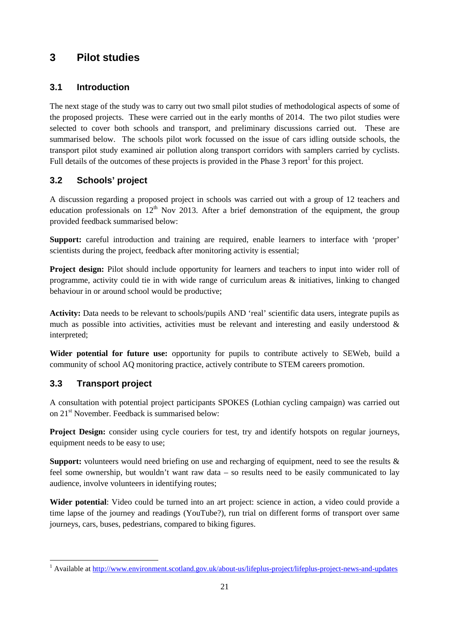# **3 Pilot studies**

## **3.1 Introduction**

The next stage of the study was to carry out two small pilot studies of methodological aspects of some of the proposed projects. These were carried out in the early months of 2014. The two pilot studies were selected to cover both schools and transport, and preliminary discussions carried out. These are summarised below. The schools pilot work focussed on the issue of cars idling outside schools, the transport pilot study examined air pollution along transport corridors with samplers carried by cyclists. Full details of the outcomes of these projects is provided in the Phase  $3$  report<sup>1</sup> for this project.

# **3.2 Schools' project**

A discussion regarding a proposed project in schools was carried out with a group of 12 teachers and education professionals on  $12<sup>th</sup>$  Nov 2013. After a brief demonstration of the equipment, the group provided feedback summarised below:

**Support:** careful introduction and training are required, enable learners to interface with 'proper' scientists during the project, feedback after monitoring activity is essential;

**Project design:** Pilot should include opportunity for learners and teachers to input into wider roll of programme, activity could tie in with wide range of curriculum areas & initiatives, linking to changed behaviour in or around school would be productive;

**Activity:** Data needs to be relevant to schools/pupils AND 'real' scientific data users, integrate pupils as much as possible into activities, activities must be relevant and interesting and easily understood  $\&$ interpreted;

**Wider potential for future use:** opportunity for pupils to contribute actively to SEWeb, build a community of school AQ monitoring practice, actively contribute to STEM careers promotion.

# **3.3 Transport project**

A consultation with potential project participants SPOKES (Lothian cycling campaign) was carried out on 21<sup>st</sup> November. Feedback is summarised below:

**Project Design:** consider using cycle couriers for test, try and identify hotspots on regular journeys, equipment needs to be easy to use;

**Support:** volunteers would need briefing on use and recharging of equipment, need to see the results & feel some ownership, but wouldn't want raw data – so results need to be easily communicated to lay audience, involve volunteers in identifying routes;

**Wider potential**: Video could be turned into an art project: science in action, a video could provide a time lapse of the journey and readings (YouTube?), run trial on different forms of transport over same journeys, cars, buses, pedestrians, compared to biking figures.

<sup>&</sup>lt;sup>1</sup> Available at http://www.environment.scot<u>land.gov.uk/about-us/lifeplus-project/lifeplus-project-news-and-updates</u>